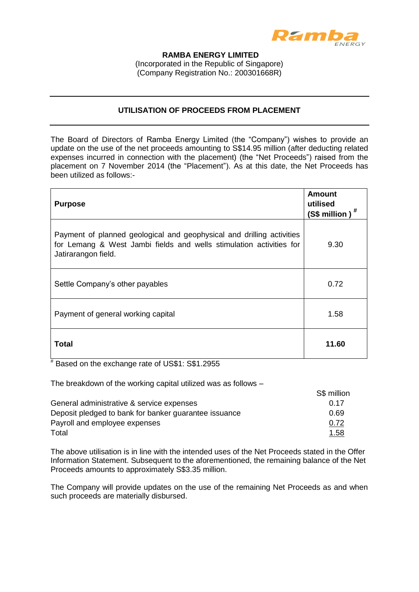

## **RAMBA ENERGY LIMITED**  (Incorporated in the Republic of Singapore)

(Company Registration No.: 200301668R)

## **UTILISATION OF PROCEEDS FROM PLACEMENT**

The Board of Directors of Ramba Energy Limited (the "Company") wishes to provide an update on the use of the net proceeds amounting to S\$14.95 million (after deducting related expenses incurred in connection with the placement) (the "Net Proceeds") raised from the placement on 7 November 2014 (the "Placement"). As at this date, the Net Proceeds has been utilized as follows:-

| <b>Purpose</b>                                                                                                                                                      | <b>Amount</b><br>utilised<br>(S\$ million) |
|---------------------------------------------------------------------------------------------------------------------------------------------------------------------|--------------------------------------------|
| Payment of planned geological and geophysical and drilling activities<br>for Lemang & West Jambi fields and wells stimulation activities for<br>Jatirarangon field. | 9.30                                       |
| Settle Company's other payables                                                                                                                                     | 0.72                                       |
| Payment of general working capital                                                                                                                                  | 1.58                                       |
| Total                                                                                                                                                               | 11.60                                      |

# Based on the exchange rate of US\$1: S\$1.2955

The breakdown of the working capital utilized was as follows –

|                                                       | S\$ million |
|-------------------------------------------------------|-------------|
| General administrative & service expenses             | 0.17        |
| Deposit pledged to bank for banker guarantee issuance | 0.69        |
| Payroll and employee expenses                         | 0.72        |
| Total                                                 | 1.58        |

The above utilisation is in line with the intended uses of the Net Proceeds stated in the Offer Information Statement. Subsequent to the aforementioned, the remaining balance of the Net Proceeds amounts to approximately S\$3.35 million.

The Company will provide updates on the use of the remaining Net Proceeds as and when such proceeds are materially disbursed.